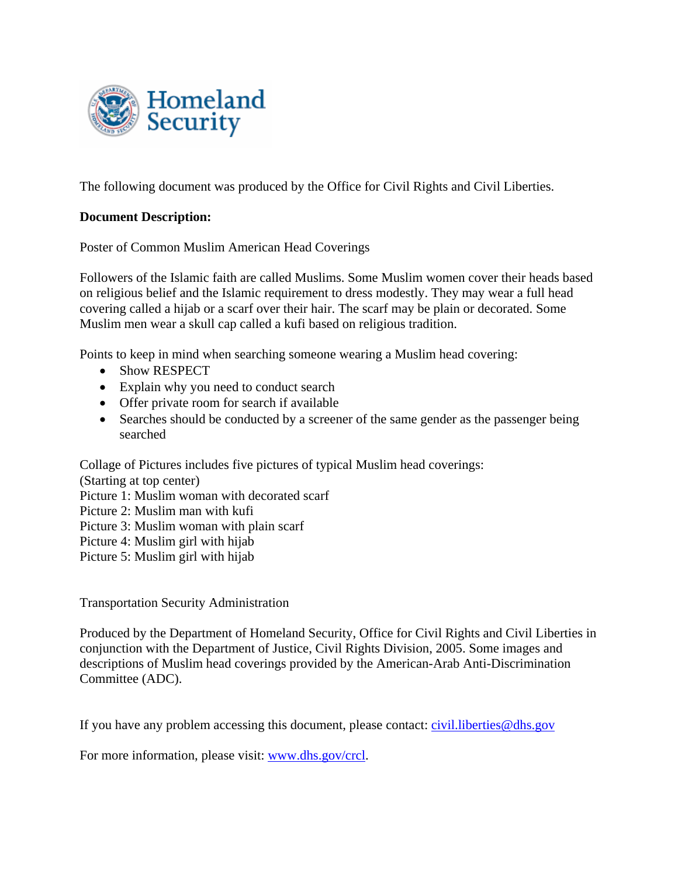

The following document was produced by the Office for Civil Rights and Civil Liberties.

## **Document Description:**

Poster of Common Muslim American Head Coverings

Followers of the Islamic faith are called Muslims. Some Muslim women cover their heads based on religious belief and the Islamic requirement to dress modestly. They may wear a full head covering called a hijab or a scarf over their hair. The scarf may be plain or decorated. Some Muslim men wear a skull cap called a kufi based on religious tradition.

Points to keep in mind when searching someone wearing a Muslim head covering:

- Show RESPECT
- Explain why you need to conduct search
- Offer private room for search if available
- Searches should be conducted by a screener of the same gender as the passenger being searched

Collage of Pictures includes five pictures of typical Muslim head coverings:

(Starting at top center)

- Picture 1: Muslim woman with decorated scarf
- Picture 2: Muslim man with kufi
- Picture 3: Muslim woman with plain scarf
- Picture 4: Muslim girl with hijab

Picture 5: Muslim girl with hijab

Transportation Security Administration

Produced by the Department of Homeland Security, Office for Civil Rights and Civil Liberties in conjunction with the Department of Justice, Civil Rights Division, 2005. Some images and descriptions of Muslim head coverings provided by the American-Arab Anti-Discrimination Committee (ADC).

If you have any problem accessing this document, please contact: [civil.liberties@dhs.gov](mailto:civil.liberties@dhs.gov)

For more information, please visit: [www.dhs.gov/crcl](http://www.dhs.gov/crcl).